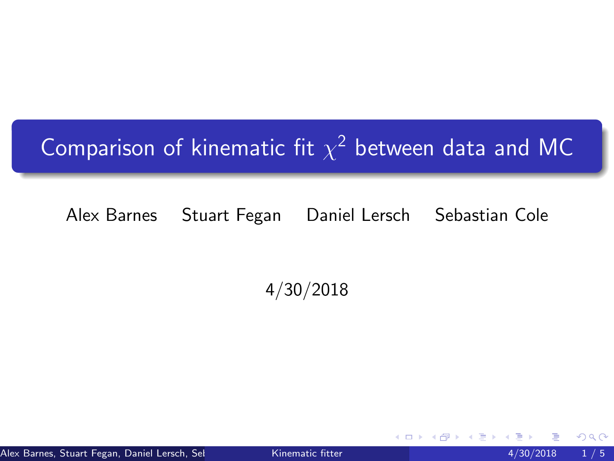## <span id="page-0-0"></span>Comparison of kinematic fit  $\chi^2$  between data and MC

## Alex Barnes Stuart Fegan Daniel Lersch Sebastian Cole

4/30/2018

Alex Barnes, Stuart Fegan, Daniel Lersch, Selates and Cole Kinematic fitter 4000 100 4/30/2018 1/5

 $290$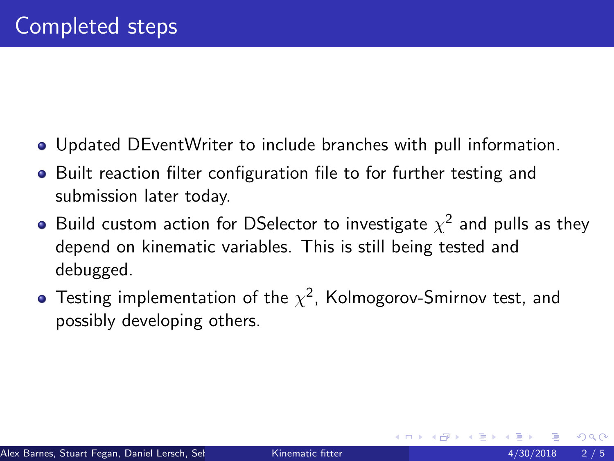- Updated DEventWriter to include branches with pull information.
- Built reaction filter configuration file to for further testing and submission later today.
- Build custom action for DSelector to investigate  $\chi^2$  and pulls as they depend on kinematic variables. This is still being tested and debugged.
- Testing implementation of the  $\chi^2$ , Kolmogorov-Smirnov test, and possibly developing others.

 $\Omega$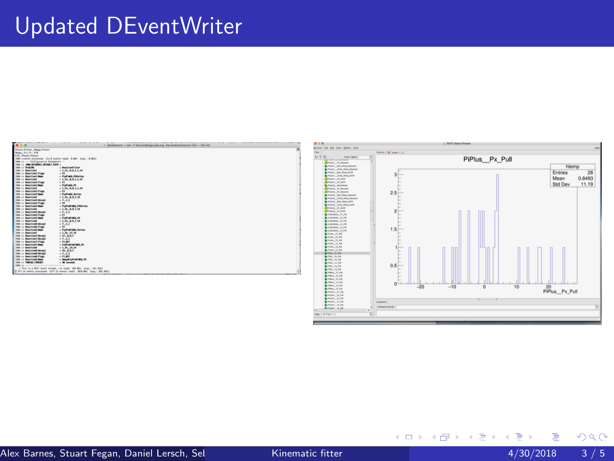## Updated DEventWriter



重

Þ

メロト メ都 トメ ヨ トメ

 $299$